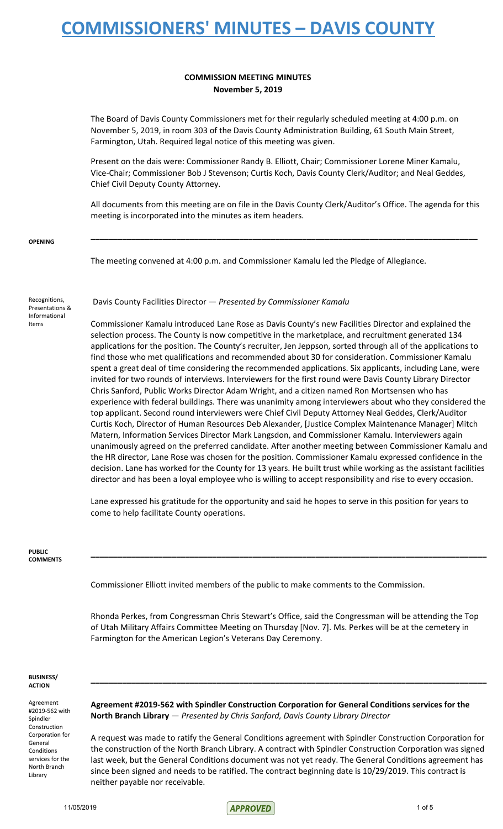### **COMMISSION MEETING MINUTES November 5, 2019**

The Board of Davis County Commissioners met for their regularly scheduled meeting at 4:00 p.m. on November 5, 2019, in room 303 of the Davis County Administration Building, 61 South Main Street, Farmington, Utah. Required legal notice of this meeting was given.

Present on the dais were: Commissioner Randy B. Elliott, Chair; Commissioner Lorene Miner Kamalu, Vice-Chair; Commissioner Bob J Stevenson; Curtis Koch, Davis County Clerk/Auditor; and Neal Geddes, Chief Civil Deputy County Attorney.

All documents from this meeting are on file in the Davis County Clerk/Auditor's Office. The agenda for this meeting is incorporated into the minutes as item headers.

**\_\_\_\_\_\_\_\_\_\_\_\_\_\_\_\_\_\_\_\_\_\_\_\_\_\_\_\_\_\_\_\_\_\_\_\_\_\_\_\_\_\_\_\_\_\_\_\_\_\_\_\_\_\_\_\_\_\_\_\_\_\_\_\_\_\_\_\_\_\_\_\_\_\_\_\_\_\_\_\_\_\_\_\_\_\_**

**OPENING**

The meeting convened at 4:00 p.m. and Commissioner Kamalu led the Pledge of Allegiance.

Recognitions, Presentations & Informational Items

Davis County Facilities Director — *Presented by Commissioner Kamalu*

Commissioner Kamalu introduced Lane Rose as Davis County's new Facilities Director and explained the selection process. The County is now competitive in the marketplace, and recruitment generated 134 applications for the position. The County's recruiter, Jen Jeppson, sorted through all of the applications to find those who met qualifications and recommended about 30 for consideration. Commissioner Kamalu spent a great deal of time considering the recommended applications. Six applicants, including Lane, were invited for two rounds of interviews. Interviewers for the first round were Davis County Library Director Chris Sanford, Public Works Director Adam Wright, and a citizen named Ron Mortsensen who has experience with federal buildings. There was unanimity among interviewers about who they considered the top applicant. Second round interviewers were Chief Civil Deputy Attorney Neal Geddes, Clerk/Auditor Curtis Koch, Director of Human Resources Deb Alexander, [Justice Complex Maintenance Manager] Mitch Matern, Information Services Director Mark Langsdon, and Commissioner Kamalu. Interviewers again unanimously agreed on the preferred candidate. After another meeting between Commissioner Kamalu and the HR director, Lane Rose was chosen for the position. Commissioner Kamalu expressed confidence in the decision. Lane has worked for the County for 13 years. He built trust while working as the assistant facilities director and has been a loyal employee who is willing to accept responsibility and rise to every occasion.

Lane expressed his gratitude for the opportunity and said he hopes to serve in this position for years to come to help facilitate County operations.

#### **PUBLIC COMMENTS**

Commissioner Elliott invited members of the public to make comments to the Commission.

Rhonda Perkes, from Congressman Chris Stewart's Office, said the Congressman will be attending the Top of Utah Military Affairs Committee Meeting on Thursday [Nov. 7]. Ms. Perkes will be at the cemetery in Farmington for the American Legion's Veterans Day Ceremony.

**\_\_\_\_\_\_\_\_\_\_\_\_\_\_\_\_\_\_\_\_\_\_\_\_\_\_\_\_\_\_\_\_\_\_\_\_\_\_\_\_\_\_\_\_\_\_\_\_\_\_\_\_\_\_\_\_\_\_\_\_\_\_\_\_\_\_\_\_\_\_\_\_\_\_\_\_\_\_\_\_\_\_\_\_\_\_\_\_**

**BUSINESS/ ACTION**

Agreement #2019-562 with Spindler Construction Corporation for General Conditions services for the North Branch Library

**Agreement #2019-562 with Spindler Construction Corporation for General Conditions services for the North Branch Library** — *Presented by Chris Sanford, Davis County Library Director*

**\_\_\_\_\_\_\_\_\_\_\_\_\_\_\_\_\_\_\_\_\_\_\_\_\_\_\_\_\_\_\_\_\_\_\_\_\_\_\_\_\_\_\_\_\_\_\_\_\_\_\_\_\_\_\_\_\_\_\_\_\_\_\_\_\_\_\_\_\_\_\_\_\_\_\_\_\_\_\_\_\_\_\_\_\_\_\_\_**

A request was made to ratify the General Conditions agreement with Spindler Construction Corporation for the construction of the North Branch Library. A contract with Spindler Construction Corporation was signed last week, but the General Conditions document was not yet ready. The General Conditions agreement has since been signed and needs to be ratified. The contract beginning date is 10/29/2019. This contract is neither payable nor receivable.

11/05/2019 106 5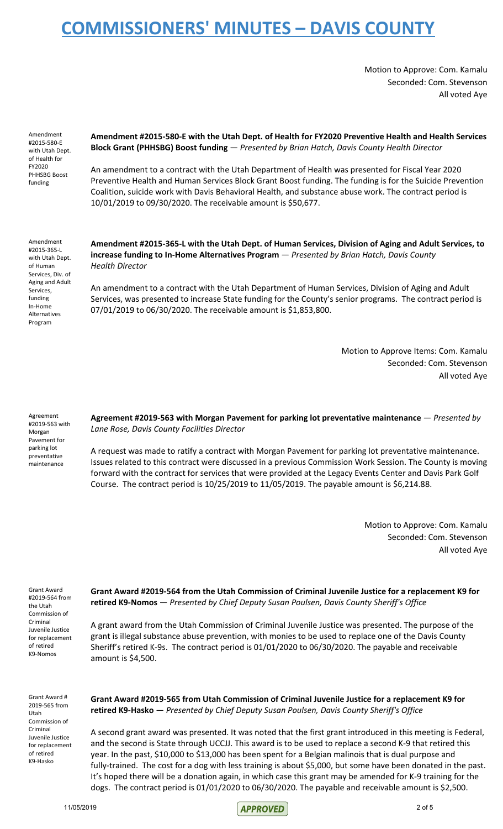Motion to Approve: Com. Kamalu Seconded: Com. Stevenson All voted Aye

Amendment #2015-580-E with Utah Dept. of Health for FY2020 PHHSBG Boost funding

**Amendment #2015-580-E with the Utah Dept. of Health for FY2020 Preventive Health and Health Services Block Grant (PHHSBG) Boost funding** — *Presented by Brian Hatch, Davis County Health Director*

An amendment to a contract with the Utah Department of Health was presented for Fiscal Year 2020 Preventive Health and Human Services Block Grant Boost funding. The funding is for the Suicide Prevention Coalition, suicide work with Davis Behavioral Health, and substance abuse work. The contract period is 10/01/2019 to 09/30/2020. The receivable amount is \$50,677.

Amendment #2015-365-L with Utah Dept. of Human Services, Div. of Aging and Adult Services, funding In-Home Alternatives Program

**Amendment #2015-365-L with the Utah Dept. of Human Services, Division of Aging and Adult Services, to increase funding to In-Home Alternatives Program** — *Presented by Brian Hatch, Davis County Health Director*

An amendment to a contract with the Utah Department of Human Services, Division of Aging and Adult Services, was presented to increase State funding for the County's senior programs. The contract period is 07/01/2019 to 06/30/2020. The receivable amount is \$1,853,800.

> Motion to Approve Items: Com. Kamalu Seconded: Com. Stevenson All voted Aye

Agreement #2019-563 with Morgan Pavement for parking lot preventative maintenance

**Agreement #2019-563 with Morgan Pavement for parking lot preventative maintenance** — *Presented by Lane Rose, Davis County Facilities Director*

A request was made to ratify a contract with Morgan Pavement for parking lot preventative maintenance. Issues related to this contract were discussed in a previous Commission Work Session. The County is moving forward with the contract for services that were provided at the Legacy Events Center and Davis Park Golf Course. The contract period is 10/25/2019 to 11/05/2019. The payable amount is \$6,214.88.

> Motion to Approve: Com. Kamalu Seconded: Com. Stevenson All voted Aye

Grant Award #2019-564 from the Utah Commission of Criminal Juvenile Justice for replacement of retired K9-Nomos

**Grant Award #2019-564 from the Utah Commission of Criminal Juvenile Justice for a replacement K9 for retired K9-Nomos** — *Presented by Chief Deputy Susan Poulsen, Davis County Sheriff's Office*

A grant award from the Utah Commission of Criminal Juvenile Justice was presented. The purpose of the grant is illegal substance abuse prevention, with monies to be used to replace one of the Davis County Sheriff's retired K-9s. The contract period is 01/01/2020 to 06/30/2020. The payable and receivable amount is \$4,500.

Grant Award # 2019-565 from Utah Commission of Criminal Juvenile Justice for replacement of retired K9-Hasko

**Grant Award #2019-565 from Utah Commission of Criminal Juvenile Justice for a replacement K9 for retired K9-Hasko** — *Presented by Chief Deputy Susan Poulsen, Davis County Sheriff's Office*

A second grant award was presented. It was noted that the first grant introduced in this meeting is Federal, and the second is State through UCCJJ. This award is to be used to replace a second K-9 that retired this year. In the past, \$10,000 to \$13,000 has been spent for a Belgian malinois that is dual purpose and fully-trained. The cost for a dog with less training is about \$5,000, but some have been donated in the past. It's hoped there will be a donation again, in which case this grant may be amended for K-9 training for the dogs. The contract period is 01/01/2020 to 06/30/2020. The payable and receivable amount is \$2,500.

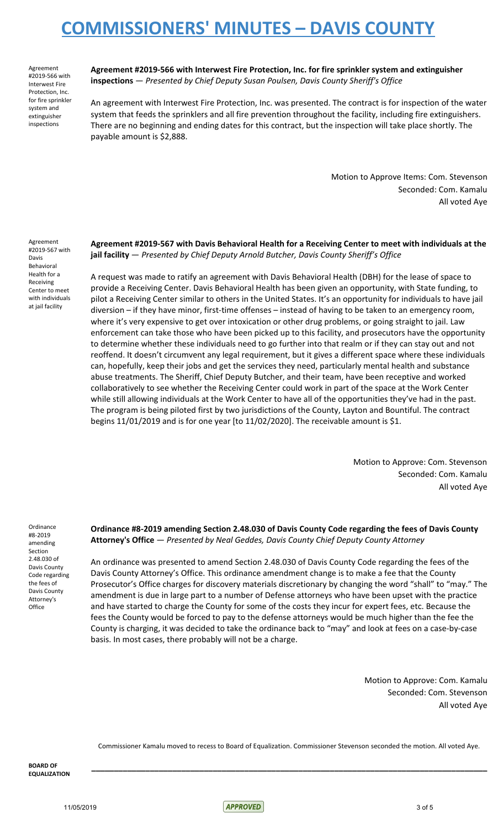Agreement #2019-566 with Interwest Fire Protection, Inc. for fire sprinkler system and extinguisher inspections

**Agreement #2019-566 with Interwest Fire Protection, Inc. for fire sprinkler system and extinguisher inspections** — *Presented by Chief Deputy Susan Poulsen, Davis County Sheriff's Office*

An agreement with Interwest Fire Protection, Inc. was presented. The contract is for inspection of the water system that feeds the sprinklers and all fire prevention throughout the facility, including fire extinguishers. There are no beginning and ending dates for this contract, but the inspection will take place shortly. The payable amount is \$2,888.

> Motion to Approve Items: Com. Stevenson Seconded: Com. Kamalu All voted Aye

Agreement #2019-567 with Davis Behavioral Health for a Receiving Center to meet with individuals at jail facility

**Agreement #2019-567 with Davis Behavioral Health for a Receiving Center to meet with individuals at the jail facility** — *Presented by Chief Deputy Arnold Butcher, Davis County Sheriff's Office*

A request was made to ratify an agreement with Davis Behavioral Health (DBH) for the lease of space to provide a Receiving Center. Davis Behavioral Health has been given an opportunity, with State funding, to pilot a Receiving Center similar to others in the United States. It's an opportunity for individuals to have jail diversion – if they have minor, first-time offenses – instead of having to be taken to an emergency room, where it's very expensive to get over intoxication or other drug problems, or going straight to jail. Law enforcement can take those who have been picked up to this facility, and prosecutors have the opportunity to determine whether these individuals need to go further into that realm or if they can stay out and not reoffend. It doesn't circumvent any legal requirement, but it gives a different space where these individuals can, hopefully, keep their jobs and get the services they need, particularly mental health and substance abuse treatments. The Sheriff, Chief Deputy Butcher, and their team, have been receptive and worked collaboratively to see whether the Receiving Center could work in part of the space at the Work Center while still allowing individuals at the Work Center to have all of the opportunities they've had in the past. The program is being piloted first by two jurisdictions of the County, Layton and Bountiful. The contract begins 11/01/2019 and is for one year [to 11/02/2020]. The receivable amount is \$1.

> Motion to Approve: Com. Stevenson Seconded: Com. Kamalu All voted Aye

Ordinance #8-2019 amending Section 2.48.030 of Davis County Code regarding the fees of Davis County Attorney's **Office** 

**Ordinance #8-2019 amending Section 2.48.030 of Davis County Code regarding the fees of Davis County Attorney's Office** — *Presented by Neal Geddes, Davis County Chief Deputy County Attorney*

An ordinance was presented to amend Section 2.48.030 of Davis County Code regarding the fees of the Davis County Attorney's Office. This ordinance amendment change is to make a fee that the County Prosecutor's Office charges for discovery materials discretionary by changing the word "shall" to "may." The amendment is due in large part to a number of Defense attorneys who have been upset with the practice and have started to charge the County for some of the costs they incur for expert fees, etc. Because the fees the County would be forced to pay to the defense attorneys would be much higher than the fee the County is charging, it was decided to take the ordinance back to "may" and look at fees on a case-by-case basis. In most cases, there probably will not be a charge.

> Motion to Approve: Com. Kamalu Seconded: Com. Stevenson All voted Aye

Commissioner Kamalu moved to recess to Board of Equalization. Commissioner Stevenson seconded the motion. All voted Aye.

**\_\_\_\_\_\_\_\_\_\_\_\_\_\_\_\_\_\_\_\_\_\_\_\_\_\_\_\_\_\_\_\_\_\_\_\_\_\_\_\_\_\_\_\_\_\_\_\_\_\_\_\_\_\_\_\_\_\_\_\_\_\_\_\_\_\_\_\_\_\_\_\_\_\_\_\_\_\_\_\_\_\_\_\_\_\_\_\_**

 $\vert$  APPROVED  $\vert$  and  $\vert$  and  $\vert$  and  $\vert$  and  $\vert$  and  $\vert$  and  $\vert$  and  $\vert$  and  $\vert$  and  $\vert$  and  $\vert$  and  $\vert$  and  $\vert$  and  $\vert$  and  $\vert$  and  $\vert$  and  $\vert$  and  $\vert$  and  $\vert$  and  $\vert$  and  $\vert$  and  $\vert$  and  $\vert$  and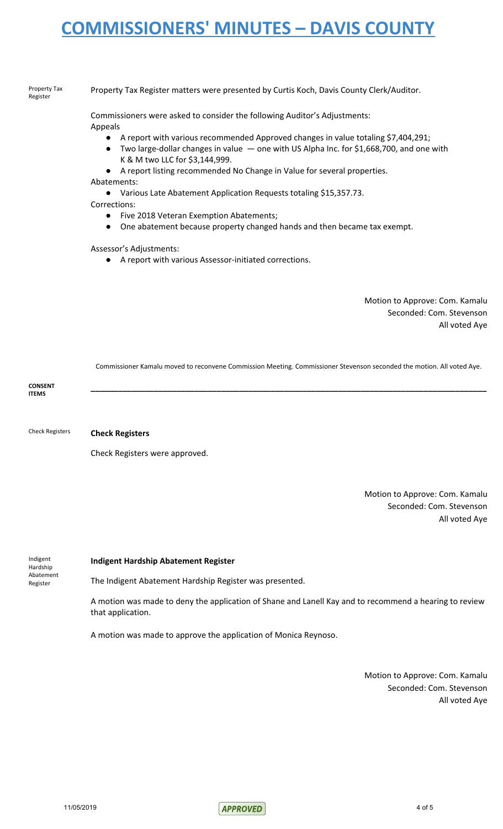#### Property Tax Register

Property Tax Register matters were presented by Curtis Koch, Davis County Clerk/Auditor.

Commissioners were asked to consider the following Auditor's Adjustments: Appeals

- A report with various recommended Approved changes in value totaling \$7,404,291;
- Two large-dollar changes in value  $-$  one with US Alpha Inc. for \$1,668,700, and one with K & M two LLC for \$3,144,999.
- A report listing recommended No Change in Value for several properties.

Abatements:

- Various Late Abatement Application Requests totaling \$15,357.73.
- Corrections:
	- Five 2018 Veteran Exemption Abatements;
	- One abatement because property changed hands and then became tax exempt.

### Assessor's Adjustments:

● A report with various Assessor-initiated corrections.

Motion to Approve: Com. Kamalu Seconded: Com. Stevenson All voted Aye

Commissioner Kamalu moved to reconvene Commission Meeting. Commissioner Stevenson seconded the motion. All voted Aye.

**CONSENT ITEMS \_\_\_\_\_\_\_\_\_\_\_\_\_\_\_\_\_\_\_\_\_\_\_\_\_\_\_\_\_\_\_\_\_\_\_\_\_\_\_\_\_\_\_\_\_\_\_\_\_\_\_\_\_\_\_\_\_\_\_\_\_\_\_\_\_\_\_\_\_\_\_\_\_\_\_\_\_\_\_\_\_\_\_\_\_\_\_\_**

Check Registers **Check Registers**

Check Registers were approved.

Motion to Approve: Com. Kamalu Seconded: Com. Stevenson All voted Aye

Indigent Hardship Abatement Register

### **Indigent Hardship Abatement Register**

The Indigent Abatement Hardship Register was presented.

A motion was made to deny the application of Shane and Lanell Kay and to recommend a hearing to review that application.

A motion was made to approve the application of Monica Reynoso.

Motion to Approve: Com. Kamalu Seconded: Com. Stevenson All voted Aye